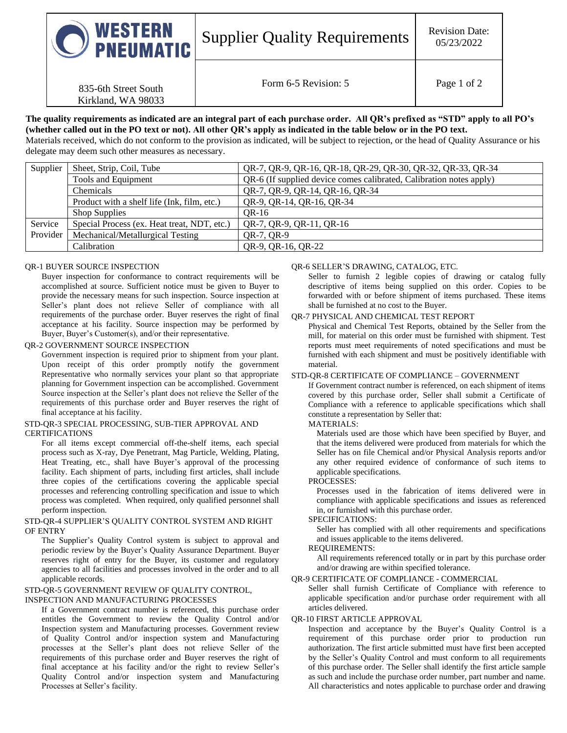| WESTERN<br>$\cup$ PNEUMATIC | <b>Supplier Quality Requirements</b> | <b>Revision Date:</b><br>05/23/2022 |
|-----------------------------|--------------------------------------|-------------------------------------|
| 835-6th Street South        | Form 6-5 Revision: 5                 | Page 1 of 2                         |

# **The quality requirements as indicated are an integral part of each purchase order. All QR's prefixed as "STD" apply to all PO's (whether called out in the PO text or not). All other QR's apply as indicated in the table below or in the PO text.**

Materials received, which do not conform to the provision as indicated, will be subject to rejection, or the head of Quality Assurance or his delegate may deem such other measures as necessary.

| Supplier | Sheet, Strip, Coil, Tube                    | QR-7, QR-9, QR-16, QR-18, QR-29, QR-30, QR-32, QR-33, QR-34         |
|----------|---------------------------------------------|---------------------------------------------------------------------|
|          | Tools and Equipment                         | QR-6 (If supplied device comes calibrated, Calibration notes apply) |
|          | Chemicals                                   | QR-7, QR-9, QR-14, QR-16, QR-34                                     |
|          | Product with a shelf life (Ink, film, etc.) | QR-9, QR-14, QR-16, QR-34                                           |
|          | <b>Shop Supplies</b>                        | OR-16                                                               |
| Service  | Special Process (ex. Heat treat, NDT, etc.) | QR-7, QR-9, QR-11, QR-16                                            |
| Provider | Mechanical/Metallurgical Testing            | QR-7, QR-9                                                          |
|          | Calibration                                 | QR-9, QR-16, QR-22                                                  |

## QR-1 BUYER SOURCE INSPECTION

Kirkland, WA 98033

Buyer inspection for conformance to contract requirements will be accomplished at source. Sufficient notice must be given to Buyer to provide the necessary means for such inspection. Source inspection at Seller's plant does not relieve Seller of compliance with all requirements of the purchase order. Buyer reserves the right of final acceptance at his facility. Source inspection may be performed by Buyer, Buyer's Customer(s), and/or their representative.

# QR-2 GOVERNMENT SOURCE INSPECTION

Government inspection is required prior to shipment from your plant. Upon receipt of this order promptly notify the government Representative who normally services your plant so that appropriate planning for Government inspection can be accomplished. Government Source inspection at the Seller's plant does not relieve the Seller of the requirements of this purchase order and Buyer reserves the right of final acceptance at his facility.

#### STD-QR-3 SPECIAL PROCESSING, SUB-TIER APPROVAL AND **CERTIFICATIONS**

For all items except commercial off-the-shelf items, each special process such as X-ray, Dye Penetrant, Mag Particle, Welding, Plating, Heat Treating, etc., shall have Buyer's approval of the processing facility. Each shipment of parts, including first articles, shall include three copies of the certifications covering the applicable special processes and referencing controlling specification and issue to which process was completed. When required, only qualified personnel shall perform inspection.

#### STD-QR-4 SUPPLIER'S QUALITY CONTROL SYSTEM AND RIGHT OF ENTRY

The Supplier's Quality Control system is subject to approval and periodic review by the Buyer's Quality Assurance Department. Buyer reserves right of entry for the Buyer, its customer and regulatory agencies to all facilities and processes involved in the order and to all applicable records.

#### STD-QR-5 GOVERNMENT REVIEW OF QUALITY CONTROL, INSPECTION AND MANUFACTURING PROCESSES

If a Government contract number is referenced, this purchase order entitles the Government to review the Quality Control and/or Inspection system and Manufacturing processes. Government review of Quality Control and/or inspection system and Manufacturing processes at the Seller's plant does not relieve Seller of the requirements of this purchase order and Buyer reserves the right of final acceptance at his facility and/or the right to review Seller's Quality Control and/or inspection system and Manufacturing Processes at Seller's facility.

## QR-6 SELLER'S DRAWING, CATALOG, ETC.

Seller to furnish 2 legible copies of drawing or catalog fully descriptive of items being supplied on this order. Copies to be forwarded with or before shipment of items purchased. These items shall be furnished at no cost to the Buyer.

## QR-7 PHYSICAL AND CHEMICAL TEST REPORT

Physical and Chemical Test Reports, obtained by the Seller from the mill, for material on this order must be furnished with shipment. Test reports must meet requirements of noted specifications and must be furnished with each shipment and must be positively identifiable with material.

#### STD-QR-8 CERTIFICATE OF COMPLIANCE – GOVERNMENT

If Government contract number is referenced, on each shipment of items covered by this purchase order, Seller shall submit a Certificate of Compliance with a reference to applicable specifications which shall constitute a representation by Seller that:

# MATERIALS:

Materials used are those which have been specified by Buyer, and that the items delivered were produced from materials for which the Seller has on file Chemical and/or Physical Analysis reports and/or any other required evidence of conformance of such items to applicable specifications.

#### PROCESSES:

Processes used in the fabrication of items delivered were in compliance with applicable specifications and issues as referenced in, or furnished with this purchase order.

#### SPECIFICATIONS:

Seller has complied with all other requirements and specifications and issues applicable to the items delivered.

## REQUIREMENTS:

All requirements referenced totally or in part by this purchase order and/or drawing are within specified tolerance.

#### QR-9 CERTIFICATE OF COMPLIANCE - COMMERCIAL

Seller shall furnish Certificate of Compliance with reference to applicable specification and/or purchase order requirement with all articles delivered.

## QR-10 FIRST ARTICLE APPROVAL

Inspection and acceptance by the Buyer's Quality Control is a requirement of this purchase order prior to production run authorization. The first article submitted must have first been accepted by the Seller's Quality Control and must conform to all requirements of this purchase order. The Seller shall identify the first article sample as such and include the purchase order number, part number and name. All characteristics and notes applicable to purchase order and drawing